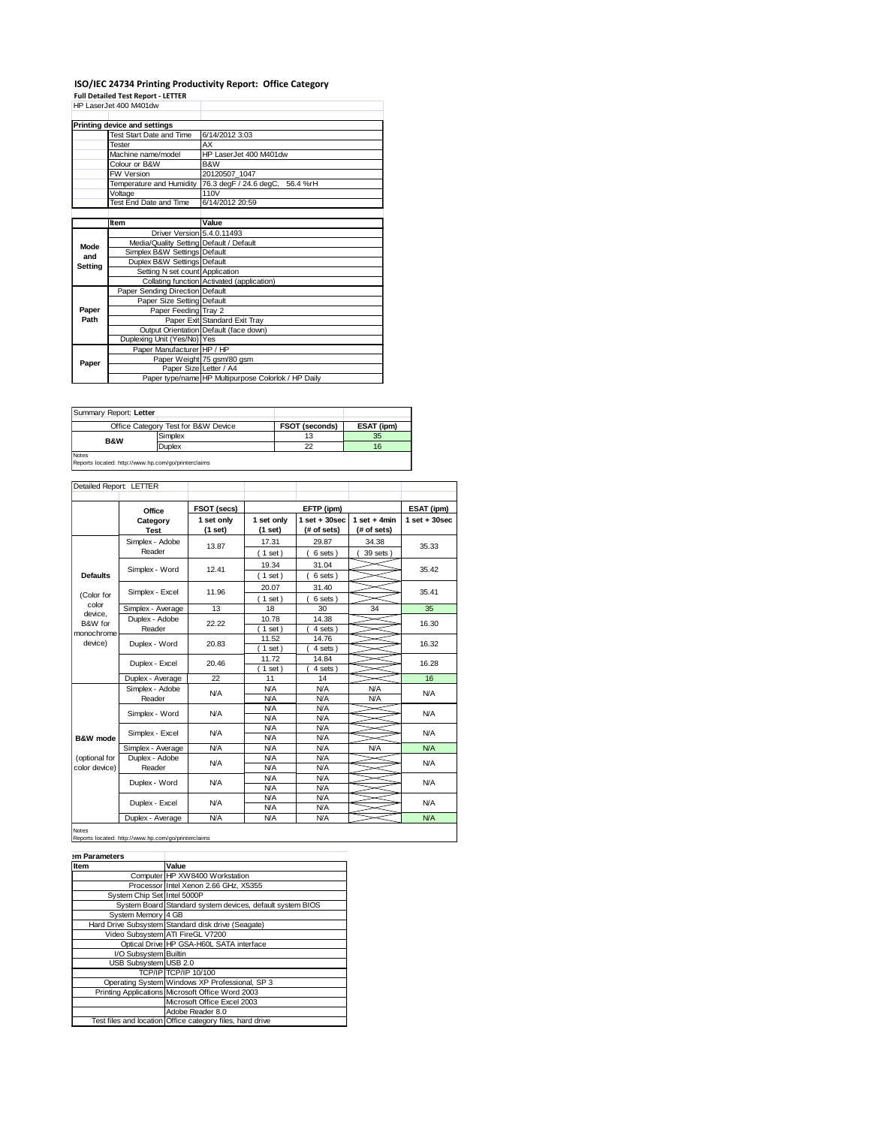# **ISO/IEC 24734 Printing Productivity Report: Office Category**

**Full Detailed Test Report - LETTER** HP LaserJet 400 M401dw

|         | Printing device and settings            |                                                     |  |  |  |
|---------|-----------------------------------------|-----------------------------------------------------|--|--|--|
|         | Test Start Date and Time                | 6/14/2012 3:03                                      |  |  |  |
|         | <b>Tester</b>                           | AX                                                  |  |  |  |
|         | Machine name/model                      | HP LaserJet 400 M401dw                              |  |  |  |
|         | Colour or B&W                           | B&W                                                 |  |  |  |
|         | <b>FW Version</b>                       | 20120507 1047                                       |  |  |  |
|         | Temperature and Humidity                | 76.3 degF / 24.6 degC, 56.4 %rH                     |  |  |  |
|         | Voltage                                 | 110V                                                |  |  |  |
|         | Test End Date and Time                  | 6/14/2012 20:59                                     |  |  |  |
|         |                                         |                                                     |  |  |  |
|         | Item                                    | Value                                               |  |  |  |
|         | Driver Version 5.4.0.11493              |                                                     |  |  |  |
| Mode    | Media/Quality Setting Default / Default |                                                     |  |  |  |
| and     | Simplex B&W Settings Default            |                                                     |  |  |  |
| Setting | Duplex B&W Settings Default             |                                                     |  |  |  |
|         | Setting N set count Application         |                                                     |  |  |  |
|         |                                         | Collating function Activated (application)          |  |  |  |
|         | Paper Sending Direction Default         |                                                     |  |  |  |
|         | Paper Size Setting Default              |                                                     |  |  |  |
| Paper   | Paper Feeding Tray 2                    |                                                     |  |  |  |
| Path    |                                         | Paper Exit Standard Exit Tray                       |  |  |  |
|         |                                         | Output Orientation Default (face down)              |  |  |  |
|         | Duplexing Unit (Yes/No) Yes             |                                                     |  |  |  |
|         | Paper Manufacturer HP / HP              |                                                     |  |  |  |
| Paper   |                                         | Paper Weight 75 gsm/80 gsm                          |  |  |  |
|         | Paper Size Letter / A4                  |                                                     |  |  |  |
|         |                                         | Paper type/name HP Multipurpose Colorlok / HP Daily |  |  |  |

| Summary Report: Letter                                              |                                     |                       |            |  |
|---------------------------------------------------------------------|-------------------------------------|-----------------------|------------|--|
|                                                                     | Office Category Test for B&W Device | <b>FSOT (seconds)</b> | ESAT (ipm) |  |
| <b>B&amp;W</b>                                                      | Simplex                             | 13                    | 35         |  |
|                                                                     | <b>Duplex</b>                       | 22                    | 16         |  |
| <b>Notes</b><br>Reports located: http://www.hp.com/go/printerclaims |                                     |                       |            |  |

#### Reports located: http://www.hp.com/go/printerclaims

| Detailed Report: LETTER        |                           |                       |                          |                                  |                               |                   |
|--------------------------------|---------------------------|-----------------------|--------------------------|----------------------------------|-------------------------------|-------------------|
|                                | Office                    | FSOT (secs)           |                          | EFTP (ipm)                       |                               | ESAT (ipm)        |
|                                | Category<br><b>Test</b>   | 1 set only<br>(1 set) | 1 set only<br>(1 set)    | $1$ set $+30$ sec<br>(# of sets) | $1$ set + 4min<br>(# of sets) | $1$ set $+30$ sec |
|                                | Simplex - Adobe<br>Reader | 13.87                 | 17.31<br>(1 set)         | 29.87<br>6 sets)                 | 34.38<br>39 sets)             | 35.33             |
| <b>Defaults</b>                | Simplex - Word            | 12.41                 | 19.34<br>$1$ set)        | 31.04<br>6 sets)                 |                               | 35.42             |
| (Color for                     | Simplex - Excel           | 11.96                 | 20.07<br>(1 set)         | 31.40<br>6 sets)                 |                               | 35.41             |
| color                          | Simplex - Average         | 13                    | 18                       | 30                               | 34                            | 35                |
| device.<br>B&W for             | Duplex - Adobe<br>Reader  | 22.22                 | 10.78<br>$1$ set)        | 14.38<br>4 sets )                |                               | 16.30             |
| monochrome<br>device)          | Duplex - Word             | 20.83                 | 11.52<br>$1$ set)        | 14.76<br>4 sets)                 |                               | 16.32             |
|                                | Duplex - Excel            | 20.46                 | 11.72<br>$1$ set)        | 14.84<br>4 sets)                 |                               | 16.28             |
|                                | Duplex - Average          | 22                    | 11                       | 14                               |                               | 16                |
|                                | Simplex - Adobe<br>Reader | <b>N/A</b>            | <b>N/A</b><br><b>N/A</b> | N/A<br>N/A                       | <b>N/A</b><br><b>N/A</b>      | N/A               |
|                                | Simplex - Word            | <b>N/A</b>            | <b>N/A</b><br><b>N/A</b> | N/A<br>N/A                       |                               | N/A               |
| B&W mode                       | Simplex - Excel           | <b>N/A</b>            | N/A<br><b>N/A</b>        | N/A<br>N/A                       |                               | <b>N/A</b>        |
|                                | Simplex - Average         | <b>N/A</b>            | <b>N/A</b>               | N/A                              | <b>N/A</b>                    | N/A               |
| (optional for<br>color device) | Duplex - Adobe<br>Reader  | <b>N/A</b>            | <b>N/A</b><br><b>N/A</b> | <b>N/A</b><br>N/A                |                               | N/A               |
|                                | Duplex - Word             | <b>N/A</b>            | <b>N/A</b><br><b>N/A</b> | N/A<br>N/A                       |                               | N/A               |
|                                | Duplex - Excel            | N/A                   | <b>N/A</b><br><b>N/A</b> | N/A<br>N/A                       |                               | N/A               |
|                                | Duplex - Average          | <b>N/A</b>            | <b>N/A</b>               | N/A                              |                               | <b>N/A</b>        |

## Notes Reports located: http://www.hp.com/go/printerclaims

| em Parameters         |                                                           |
|-----------------------|-----------------------------------------------------------|
| Item                  | Value                                                     |
|                       | Computer HP XW8400 Workstation                            |
|                       | Processor Intel Xenon 2.66 GHz, X5355                     |
|                       | System Chip Set Intel 5000P                               |
|                       | System Board Standard system devices, default system BIOS |
| System Memory 4 GB    |                                                           |
|                       | Hard Drive Subsystem Standard disk drive (Seagate)        |
|                       | Video Subsystem ATI FireGL V7200                          |
|                       | Optical Drive HP GSA-H60L SATA interface                  |
| I/O Subsystem Builtin |                                                           |
| USB Subsystem USB 2.0 |                                                           |
|                       | TCP/IP TCP/IP 10/100                                      |
|                       | Operating System Windows XP Professional, SP 3            |
|                       | Printing Applications Microsoft Office Word 2003          |
|                       | Microsoft Office Excel 2003                               |
|                       | Adobe Reader 8.0                                          |
|                       | Test files and location Office category files, hard drive |